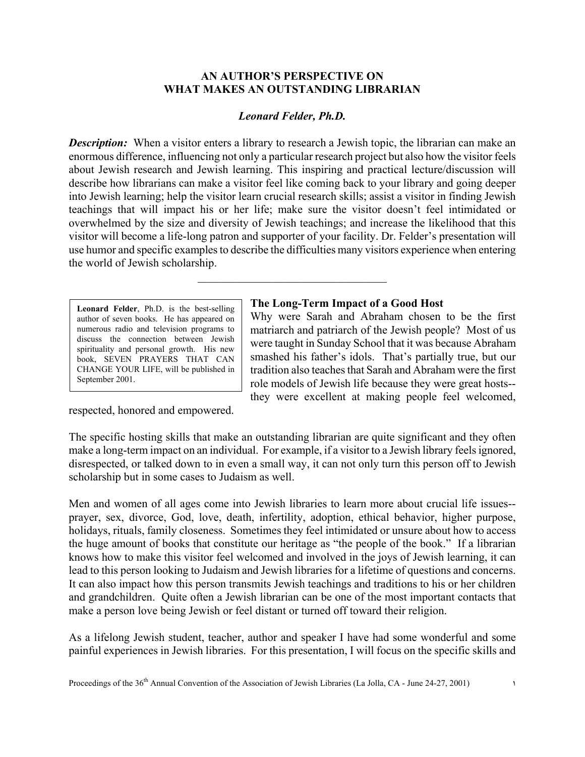## **AN AUTHOR'S PERSPECTIVE ON WHAT MAKES AN OUTSTANDING LIBRARIAN**

# *Leonard Felder, Ph.D.*

*Description:* When a visitor enters a library to research a Jewish topic, the librarian can make an enormous difference, influencing not only a particular research project but also how the visitor feels about Jewish research and Jewish learning. This inspiring and practical lecture/discussion will describe how librarians can make a visitor feel like coming back to your library and going deeper into Jewish learning; help the visitor learn crucial research skills; assist a visitor in finding Jewish teachings that will impact his or her life; make sure the visitor doesn't feel intimidated or overwhelmed by the size and diversity of Jewish teachings; and increase the likelihood that this visitor will become a life-long patron and supporter of your facility. Dr. Felder's presentation will use humor and specific examples to describe the difficulties many visitors experience when entering the world of Jewish scholarship.

\_\_\_\_\_\_\_\_\_\_\_\_\_\_\_\_\_\_\_\_\_\_\_\_\_\_\_\_\_\_\_\_\_

**Leonard Felder**, Ph.D. is the best-selling author of seven books. He has appeared on numerous radio and television programs to discuss the connection between Jewish spirituality and personal growth. His new book, SEVEN PRAYERS THAT CAN CHANGE YOUR LIFE, will be published in September 2001.

#### **The Long-Term Impact of a Good Host**

Why were Sarah and Abraham chosen to be the first matriarch and patriarch of the Jewish people? Most of us were taught in Sunday School that it was because Abraham smashed his father's idols. That's partially true, but our tradition also teaches that Sarah and Abraham were the first role models of Jewish life because they were great hosts- they were excellent at making people feel welcomed,

respected, honored and empowered.

The specific hosting skills that make an outstanding librarian are quite significant and they often make a long-term impact on an individual. For example, if a visitor to a Jewish library feels ignored, disrespected, or talked down to in even a small way, it can not only turn this person off to Jewish scholarship but in some cases to Judaism as well.

Men and women of all ages come into Jewish libraries to learn more about crucial life issues- prayer, sex, divorce, God, love, death, infertility, adoption, ethical behavior, higher purpose, holidays, rituals, family closeness. Sometimes they feel intimidated or unsure about how to access the huge amount of books that constitute our heritage as "the people of the book." If a librarian knows how to make this visitor feel welcomed and involved in the joys of Jewish learning, it can lead to this person looking to Judaism and Jewish libraries for a lifetime of questions and concerns. It can also impact how this person transmits Jewish teachings and traditions to his or her children and grandchildren. Quite often a Jewish librarian can be one of the most important contacts that make a person love being Jewish or feel distant or turned off toward their religion.

As a lifelong Jewish student, teacher, author and speaker I have had some wonderful and some painful experiences in Jewish libraries. For this presentation, I will focus on the specific skills and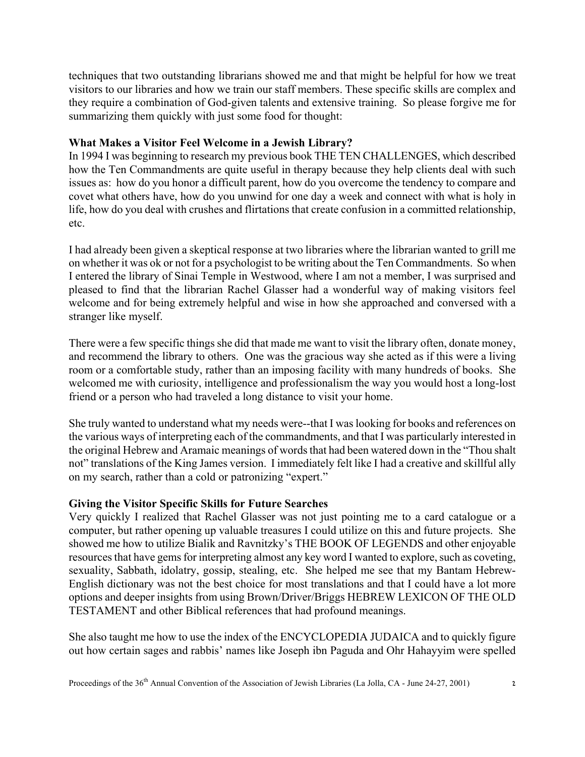techniques that two outstanding librarians showed me and that might be helpful for how we treat visitors to our libraries and how we train our staff members. These specific skills are complex and they require a combination of God-given talents and extensive training. So please forgive me for summarizing them quickly with just some food for thought:

# **What Makes a Visitor Feel Welcome in a Jewish Library?**

In 1994 I was beginning to research my previous book THE TEN CHALLENGES, which described how the Ten Commandments are quite useful in therapy because they help clients deal with such issues as: how do you honor a difficult parent, how do you overcome the tendency to compare and covet what others have, how do you unwind for one day a week and connect with what is holy in life, how do you deal with crushes and flirtations that create confusion in a committed relationship, etc.

I had already been given a skeptical response at two libraries where the librarian wanted to grill me on whether it was ok or not for a psychologist to be writing about the Ten Commandments. So when I entered the library of Sinai Temple in Westwood, where I am not a member, I was surprised and pleased to find that the librarian Rachel Glasser had a wonderful way of making visitors feel welcome and for being extremely helpful and wise in how she approached and conversed with a stranger like myself.

There were a few specific things she did that made me want to visit the library often, donate money, and recommend the library to others. One was the gracious way she acted as if this were a living room or a comfortable study, rather than an imposing facility with many hundreds of books. She welcomed me with curiosity, intelligence and professionalism the way you would host a long-lost friend or a person who had traveled a long distance to visit your home.

She truly wanted to understand what my needs were--that I was looking for books and references on the various ways of interpreting each of the commandments, and that I was particularly interested in the original Hebrew and Aramaic meanings of words that had been watered down in the "Thou shalt not" translations of the King James version. I immediately felt like I had a creative and skillful ally on my search, rather than a cold or patronizing "expert."

### **Giving the Visitor Specific Skills for Future Searches**

Very quickly I realized that Rachel Glasser was not just pointing me to a card catalogue or a computer, but rather opening up valuable treasures I could utilize on this and future projects. She showed me how to utilize Bialik and Ravnitzky's THE BOOK OF LEGENDS and other enjoyable resources that have gems for interpreting almost any key word I wanted to explore, such as coveting, sexuality, Sabbath, idolatry, gossip, stealing, etc. She helped me see that my Bantam Hebrew-English dictionary was not the best choice for most translations and that I could have a lot more options and deeper insights from using Brown/Driver/Briggs HEBREW LEXICON OF THE OLD TESTAMENT and other Biblical references that had profound meanings.

She also taught me how to use the index of the ENCYCLOPEDIA JUDAICA and to quickly figure out how certain sages and rabbis' names like Joseph ibn Paguda and Ohr Hahayyim were spelled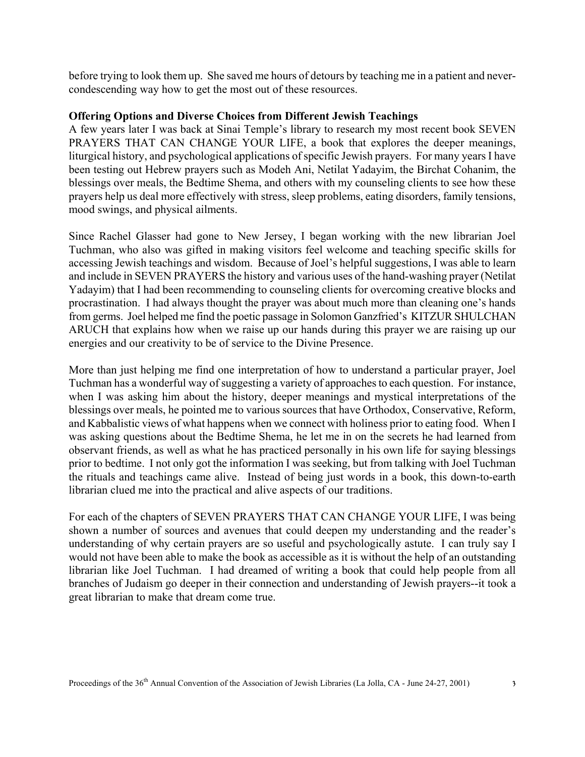before trying to look them up. She saved me hours of detours by teaching me in a patient and nevercondescending way how to get the most out of these resources.

### **Offering Options and Diverse Choices from Different Jewish Teachings**

A few years later I was back at Sinai Temple's library to research my most recent book SEVEN PRAYERS THAT CAN CHANGE YOUR LIFE, a book that explores the deeper meanings, liturgical history, and psychological applications of specific Jewish prayers. For many years I have been testing out Hebrew prayers such as Modeh Ani, Netilat Yadayim, the Birchat Cohanim, the blessings over meals, the Bedtime Shema, and others with my counseling clients to see how these prayers help us deal more effectively with stress, sleep problems, eating disorders, family tensions, mood swings, and physical ailments.

Since Rachel Glasser had gone to New Jersey, I began working with the new librarian Joel Tuchman, who also was gifted in making visitors feel welcome and teaching specific skills for accessing Jewish teachings and wisdom. Because of Joel's helpful suggestions, I was able to learn and include in SEVEN PRAYERS the history and various uses of the hand-washing prayer (Netilat Yadayim) that I had been recommending to counseling clients for overcoming creative blocks and procrastination. I had always thought the prayer was about much more than cleaning one's hands from germs. Joel helped me find the poetic passage in Solomon Ganzfried's KITZUR SHULCHAN ARUCH that explains how when we raise up our hands during this prayer we are raising up our energies and our creativity to be of service to the Divine Presence.

More than just helping me find one interpretation of how to understand a particular prayer, Joel Tuchman has a wonderful way of suggesting a variety of approaches to each question. For instance, when I was asking him about the history, deeper meanings and mystical interpretations of the blessings over meals, he pointed me to various sources that have Orthodox, Conservative, Reform, and Kabbalistic views of what happens when we connect with holiness prior to eating food. When I was asking questions about the Bedtime Shema, he let me in on the secrets he had learned from observant friends, as well as what he has practiced personally in his own life for saying blessings prior to bedtime. I not only got the information I was seeking, but from talking with Joel Tuchman the rituals and teachings came alive. Instead of being just words in a book, this down-to-earth librarian clued me into the practical and alive aspects of our traditions.

For each of the chapters of SEVEN PRAYERS THAT CAN CHANGE YOUR LIFE, I was being shown a number of sources and avenues that could deepen my understanding and the reader's understanding of why certain prayers are so useful and psychologically astute. I can truly say I would not have been able to make the book as accessible as it is without the help of an outstanding librarian like Joel Tuchman. I had dreamed of writing a book that could help people from all branches of Judaism go deeper in their connection and understanding of Jewish prayers--it took a great librarian to make that dream come true.